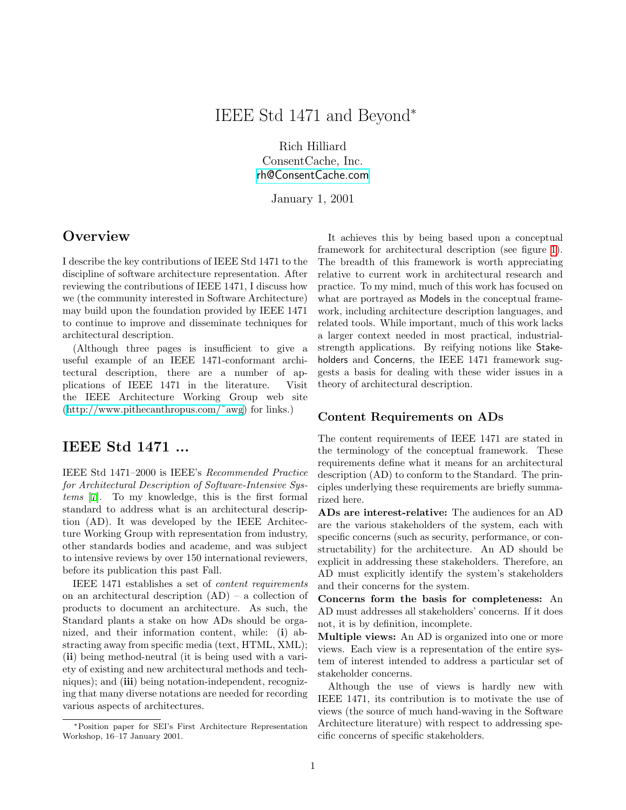# IEEE Std 1471 and Beyond<sup>∗</sup>

Rich Hilliard ConsentCache, Inc. [rh@ConsentCache.com](mailto:rh@ConsentCache.com)

January 1, 2001

### **Overview**

I describe the key contributions of IEEE Std 1471 to the discipline of software architecture representation. After reviewing the contributions of IEEE 1471, I discuss how we (the community interested in Software Architecture) may build upon the foundation provided by IEEE 1471 to continue to improve and disseminate techniques for architectural description.

(Although three pages is insufficient to give a useful example of an IEEE 1471-conformant architectural description, there are a number of applications of IEEE 1471 in the literature. Visit the IEEE Architecture Working Group web site [\(http://www.pithecanthropus.com/˜awg](http://www.pithecanthropus.com/~awg)) for links.)

### IEEE Std 1471 ...

IEEE Std 1471–2000 is IEEE's Recommended Practice for Architectural Description of Software-Intensive Systems [\[7](#page-2-0)]. To my knowledge, this is the first formal standard to address what is an architectural description (AD). It was developed by the IEEE Architecture Working Group with representation from industry, other standards bodies and academe, and was subject to intensive reviews by over 150 international reviewers, before its publication this past Fall.

IEEE 1471 establishes a set of content requirements on an architectural description (AD) – a collection of products to document an architecture. As such, the Standard plants a stake on how ADs should be organized, and their information content, while: (i) abstracting away from specific media (text, HTML, XML); (ii) being method-neutral (it is being used with a variety of existing and new architectural methods and techniques); and (iii) being notation-independent, recognizing that many diverse notations are needed for recording various aspects of architectures.

It achieves this by being based upon a conceptual framework for architectural description (see figure [1](#page-1-0)). The breadth of this framework is worth appreciating relative to current work in architectural research and practice. To my mind, much of this work has focused on what are portrayed as Models in the conceptual framework, including architecture description languages, and related tools. While important, much of this work lacks a larger context needed in most practical, industrialstrength applications. By reifying notions like Stakeholders and Concerns, the IEEE 1471 framework suggests a basis for dealing with these wider issues in a theory of architectural description.

#### Content Requirements on ADs

The content requirements of IEEE 1471 are stated in the terminology of the conceptual framework. These requirements define what it means for an architectural description (AD) to conform to the Standard. The principles underlying these requirements are briefly summarized here.

ADs are interest-relative: The audiences for an AD are the various stakeholders of the system, each with specific concerns (such as security, performance, or constructability) for the architecture. An AD should be explicit in addressing these stakeholders. Therefore, an AD must explicitly identify the system's stakeholders and their concerns for the system.

Concerns form the basis for completeness: An AD must addresses all stakeholders' concerns. If it does not, it is by definition, incomplete.

Multiple views: An AD is organized into one or more views. Each view is a representation of the entire system of interest intended to address a particular set of stakeholder concerns.

Although the use of views is hardly new with IEEE 1471, its contribution is to motivate the use of views (the source of much hand-waving in the Software Architecture literature) with respect to addressing specific concerns of specific stakeholders.

<sup>∗</sup>Position paper for SEI's First Architecture Representation Workshop, 16–17 January 2001.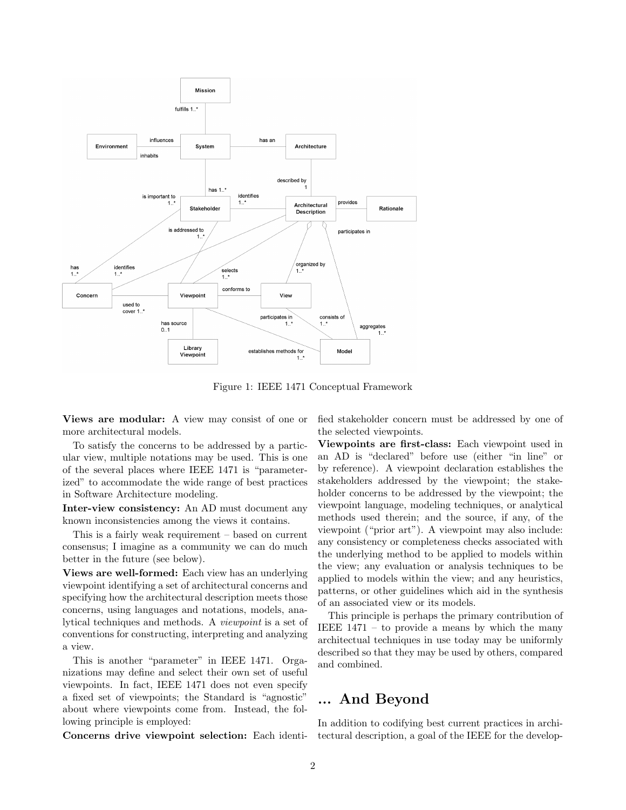

<span id="page-1-0"></span>Figure 1: IEEE 1471 Conceptual Framework

Views are modular: A view may consist of one or more architectural models.

To satisfy the concerns to be addressed by a particular view, multiple notations may be used. This is one of the several places where IEEE 1471 is "parameterized" to accommodate the wide range of best practices in Software Architecture modeling.

Inter-view consistency: An AD must document any known inconsistencies among the views it contains.

This is a fairly weak requirement – based on current consensus; I imagine as a community we can do much better in the future (see below).

Views are well-formed: Each view has an underlying viewpoint identifying a set of architectural concerns and specifying how the architectural description meets those concerns, using languages and notations, models, analytical techniques and methods. A viewpoint is a set of conventions for constructing, interpreting and analyzing a view.

This is another "parameter" in IEEE 1471. Organizations may define and select their own set of useful viewpoints. In fact, IEEE 1471 does not even specify a fixed set of viewpoints; the Standard is "agnostic" about where viewpoints come from. Instead, the following principle is employed:

Concerns drive viewpoint selection: Each identi-

fied stakeholder concern must be addressed by one of the selected viewpoints.

Viewpoints are first-class: Each viewpoint used in an AD is "declared" before use (either "in line" or by reference). A viewpoint declaration establishes the stakeholders addressed by the viewpoint; the stakeholder concerns to be addressed by the viewpoint; the viewpoint language, modeling techniques, or analytical methods used therein; and the source, if any, of the viewpoint ("prior art"). A viewpoint may also include: any consistency or completeness checks associated with the underlying method to be applied to models within the view; any evaluation or analysis techniques to be applied to models within the view; and any heuristics, patterns, or other guidelines which aid in the synthesis of an associated view or its models.

This principle is perhaps the primary contribution of IEEE 1471 – to provide a means by which the many architectual techniques in use today may be uniformly described so that they may be used by others, compared and combined.

### ... And Beyond

In addition to codifying best current practices in architectural description, a goal of the IEEE for the develop